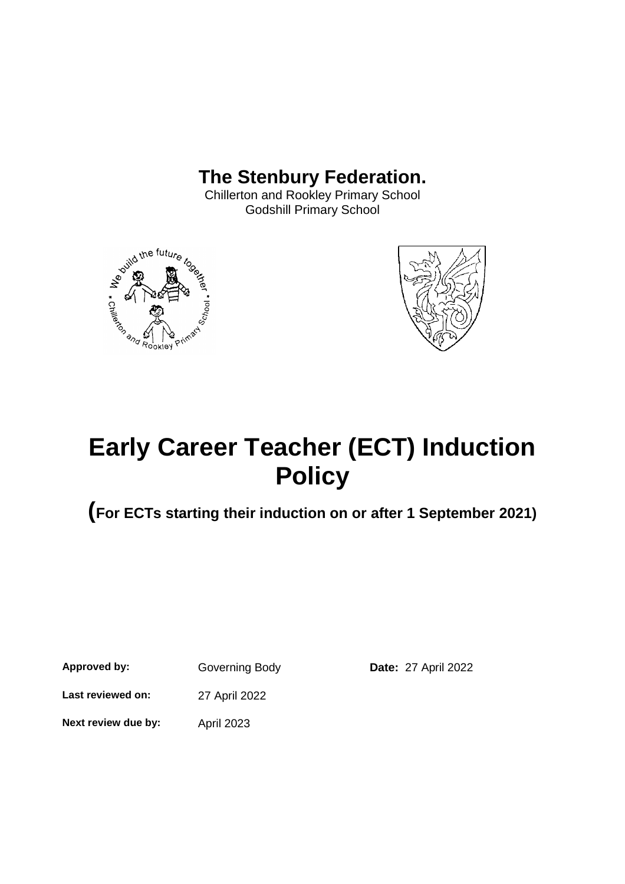# **The Stenbury Federation.**

Chillerton and Rookley Primary School Godshill Primary School





# **Early Career Teacher (ECT) Induction Policy**

**(For ECTs starting their induction on or after 1 September 2021)**

**Approved by:** Governing Body **Date:** 27 April 2022

**Last reviewed on:** 27 April 2022

**Next review due by:** April 2023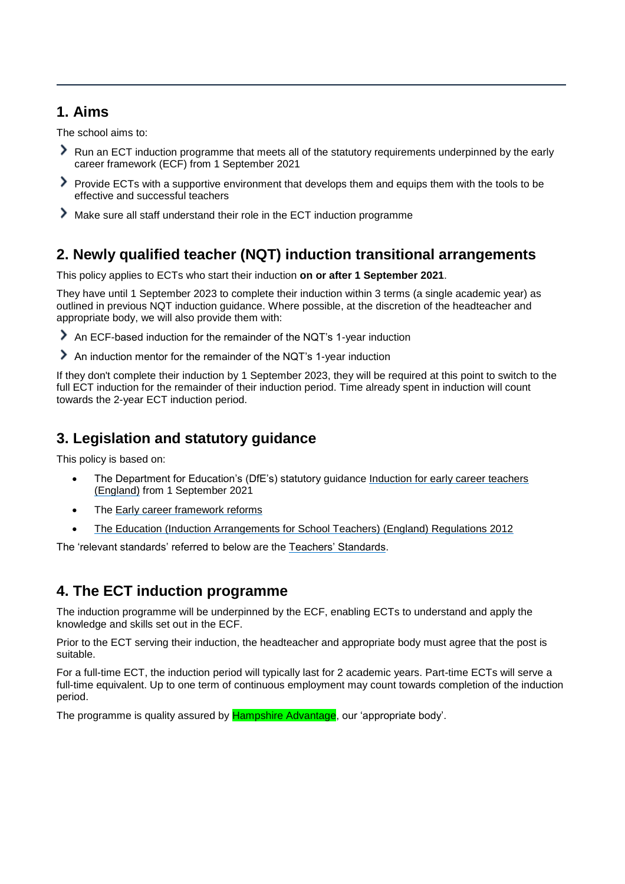# **1. Aims**

The school aims to:

- Run an ECT induction programme that meets all of the statutory requirements underpinned by the early career framework (ECF) from 1 September 2021
- Provide ECTs with a supportive environment that develops them and equips them with the tools to be effective and successful teachers
- Make sure all staff understand their role in the ECT induction programme

# **2. Newly qualified teacher (NQT) induction transitional arrangements**

This policy applies to ECTs who start their induction **on or after 1 September 2021**.

They have until 1 September 2023 to complete their induction within 3 terms (a single academic year) as outlined in previous NQT induction guidance. Where possible, at the discretion of the headteacher and appropriate body, we will also provide them with:

- An ECF-based induction for the remainder of the NQT's 1-year induction
- An induction mentor for the remainder of the NQT's 1-year induction

If they don't complete their induction by 1 September 2023, they will be required at this point to switch to the full ECT induction for the remainder of their induction period. Time already spent in induction will count towards the 2-year ECT induction period.

# **3. Legislation and statutory guidance**

This policy is based on:

- The Department for Education's (DfE's) statutory guidance Induction for early career teachers [\(England\)](https://www.gov.uk/government/publications/induction-for-early-career-teachers-england) from 1 September 2021
- The [Early career framework reforms](https://www.gov.uk/government/collections/early-career-framework-reforms)
- [The Education \(Induction Arrangements for School Teachers\) \(England\) Regulations 2012](http://www.legislation.gov.uk/uksi/2012/1115/contents/made)

The 'relevant standards' referred to below are the [Teachers' Standards.](https://www.gov.uk/government/publications/teachers-standards)

# **4. The ECT induction programme**

The induction programme will be underpinned by the ECF, enabling ECTs to understand and apply the knowledge and skills set out in the ECF.

Prior to the ECT serving their induction, the headteacher and appropriate body must agree that the post is suitable.

For a full-time ECT, the induction period will typically last for 2 academic years. Part-time ECTs will serve a full-time equivalent. Up to one term of continuous employment may count towards completion of the induction period.

The programme is quality assured by **Hampshire Advantage**, our 'appropriate body'.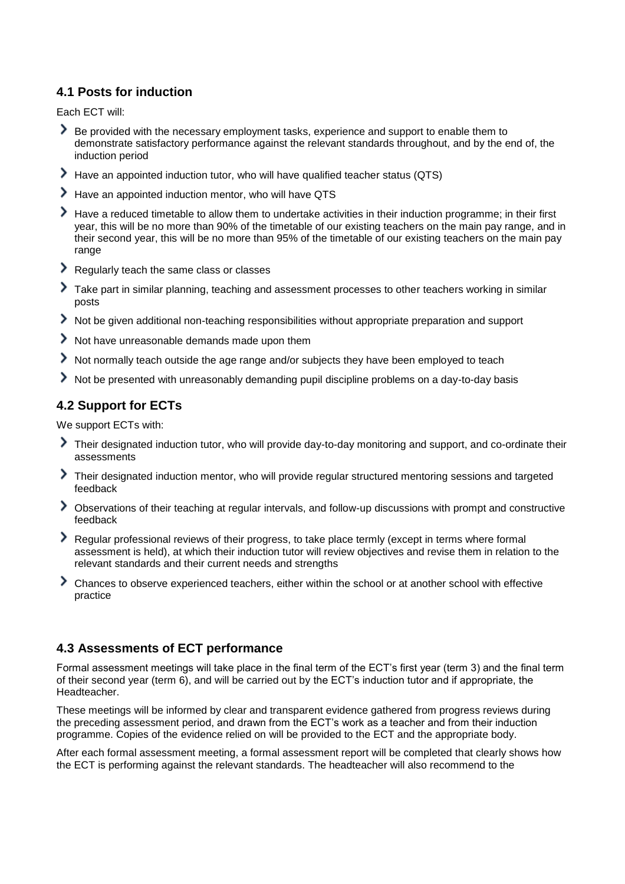#### **4.1 Posts for induction**

Each ECT will:

- Be provided with the necessary employment tasks, experience and support to enable them to demonstrate satisfactory performance against the relevant standards throughout, and by the end of, the induction period
- Have an appointed induction tutor, who will have qualified teacher status (QTS)
- Have an appointed induction mentor, who will have QTS
- Have a reduced timetable to allow them to undertake activities in their induction programme; in their first year, this will be no more than 90% of the timetable of our existing teachers on the main pay range, and in their second year, this will be no more than 95% of the timetable of our existing teachers on the main pay range
- Regularly teach the same class or classes
- Take part in similar planning, teaching and assessment processes to other teachers working in similar posts
- Not be given additional non-teaching responsibilities without appropriate preparation and support
- $\geq$  Not have unreasonable demands made upon them
- Not normally teach outside the age range and/or subjects they have been employed to teach
- Not be presented with unreasonably demanding pupil discipline problems on a day-to-day basis

#### **4.2 Support for ECTs**

We support ECTs with:

- Their designated induction tutor, who will provide day-to-day monitoring and support, and co-ordinate their assessments
- Their designated induction mentor, who will provide regular structured mentoring sessions and targeted feedback
- Observations of their teaching at regular intervals, and follow-up discussions with prompt and constructive feedback
- Regular professional reviews of their progress, to take place termly (except in terms where formal assessment is held), at which their induction tutor will review objectives and revise them in relation to the relevant standards and their current needs and strengths
- Chances to observe experienced teachers, either within the school or at another school with effective practice

#### **4.3 Assessments of ECT performance**

Formal assessment meetings will take place in the final term of the ECT's first year (term 3) and the final term of their second year (term 6), and will be carried out by the ECT's induction tutor and if appropriate, the Headteacher.

These meetings will be informed by clear and transparent evidence gathered from progress reviews during the preceding assessment period, and drawn from the ECT's work as a teacher and from their induction programme. Copies of the evidence relied on will be provided to the ECT and the appropriate body.

After each formal assessment meeting, a formal assessment report will be completed that clearly shows how the ECT is performing against the relevant standards. The headteacher will also recommend to the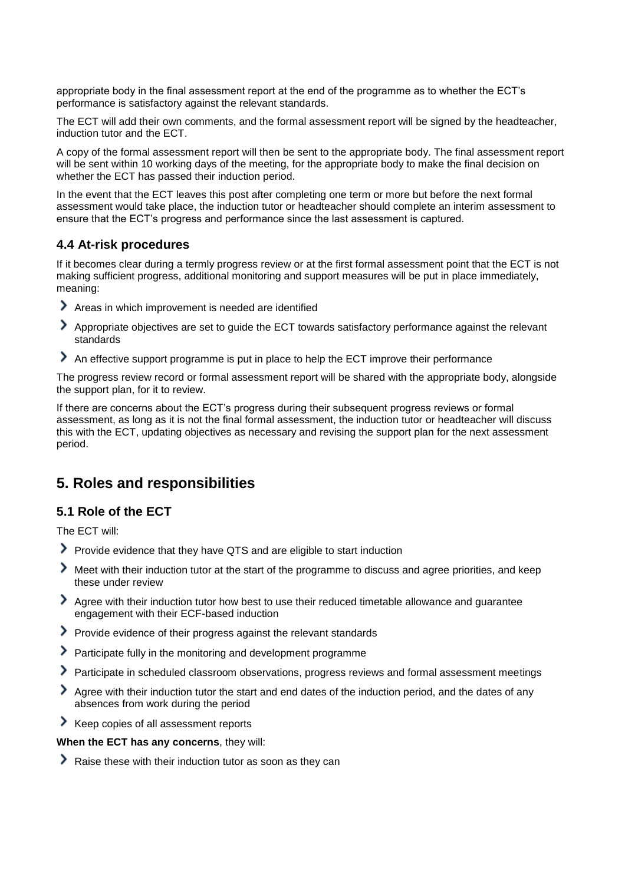appropriate body in the final assessment report at the end of the programme as to whether the ECT's performance is satisfactory against the relevant standards.

The ECT will add their own comments, and the formal assessment report will be signed by the headteacher, induction tutor and the ECT.

A copy of the formal assessment report will then be sent to the appropriate body. The final assessment report will be sent within 10 working days of the meeting, for the appropriate body to make the final decision on whether the ECT has passed their induction period.

In the event that the ECT leaves this post after completing one term or more but before the next formal assessment would take place, the induction tutor or headteacher should complete an interim assessment to ensure that the ECT's progress and performance since the last assessment is captured.

#### **4.4 At-risk procedures**

If it becomes clear during a termly progress review or at the first formal assessment point that the ECT is not making sufficient progress, additional monitoring and support measures will be put in place immediately, meaning:

- Areas in which improvement is needed are identified
- Appropriate objectives are set to guide the ECT towards satisfactory performance against the relevant standards
- An effective support programme is put in place to help the ECT improve their performance

The progress review record or formal assessment report will be shared with the appropriate body, alongside the support plan, for it to review.

If there are concerns about the ECT's progress during their subsequent progress reviews or formal assessment, as long as it is not the final formal assessment, the induction tutor or headteacher will discuss this with the ECT, updating objectives as necessary and revising the support plan for the next assessment period.

### **5. Roles and responsibilities**

#### **5.1 Role of the ECT**

The ECT will:

- Provide evidence that they have QTS and are eligible to start induction
- Meet with their induction tutor at the start of the programme to discuss and agree priorities, and keep these under review
- Agree with their induction tutor how best to use their reduced timetable allowance and guarantee engagement with their ECF-based induction
- Provide evidence of their progress against the relevant standards
- Participate fully in the monitoring and development programme
- Participate in scheduled classroom observations, progress reviews and formal assessment meetings
- Agree with their induction tutor the start and end dates of the induction period, and the dates of any absences from work during the period
- Keep copies of all assessment reports

**When the ECT has any concerns**, they will:

Raise these with their induction tutor as soon as they can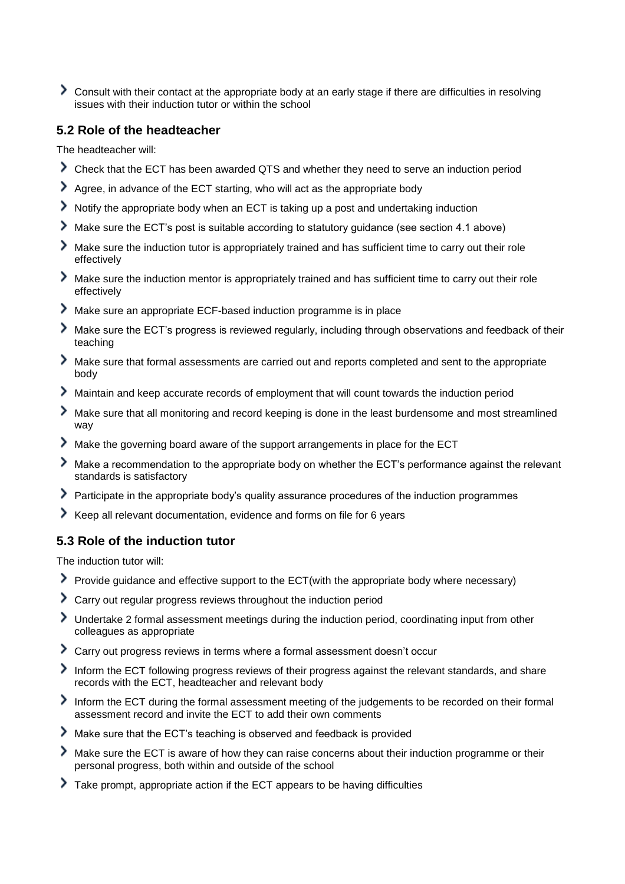Consult with their contact at the appropriate body at an early stage if there are difficulties in resolving issues with their induction tutor or within the school

#### **5.2 Role of the headteacher**

The headteacher will:

- Check that the ECT has been awarded QTS and whether they need to serve an induction period
- Agree, in advance of the ECT starting, who will act as the appropriate body
- Notify the appropriate body when an ECT is taking up a post and undertaking induction
- Make sure the ECT's post is suitable according to statutory guidance (see section 4.1 above)
- Make sure the induction tutor is appropriately trained and has sufficient time to carry out their role effectively
- Make sure the induction mentor is appropriately trained and has sufficient time to carry out their role effectively
- Make sure an appropriate ECF-based induction programme is in place
- Make sure the ECT's progress is reviewed regularly, including through observations and feedback of their teaching
- Make sure that formal assessments are carried out and reports completed and sent to the appropriate body
- Maintain and keep accurate records of employment that will count towards the induction period
- Make sure that all monitoring and record keeping is done in the least burdensome and most streamlined way
- Make the governing board aware of the support arrangements in place for the ECT
- Make a recommendation to the appropriate body on whether the ECT's performance against the relevant standards is satisfactory
- Participate in the appropriate body's quality assurance procedures of the induction programmes
- Keep all relevant documentation, evidence and forms on file for 6 years

#### **5.3 Role of the induction tutor**

The induction tutor will:

- Provide guidance and effective support to the ECT(with the appropriate body where necessary)
- Carry out regular progress reviews throughout the induction period
- Undertake 2 formal assessment meetings during the induction period, coordinating input from other colleagues as appropriate
- Carry out progress reviews in terms where a formal assessment doesn't occur
- Inform the ECT following progress reviews of their progress against the relevant standards, and share records with the ECT, headteacher and relevant body
- Inform the ECT during the formal assessment meeting of the judgements to be recorded on their formal assessment record and invite the ECT to add their own comments
- Make sure that the ECT's teaching is observed and feedback is provided
- Make sure the ECT is aware of how they can raise concerns about their induction programme or their personal progress, both within and outside of the school
- Take prompt, appropriate action if the ECT appears to be having difficulties